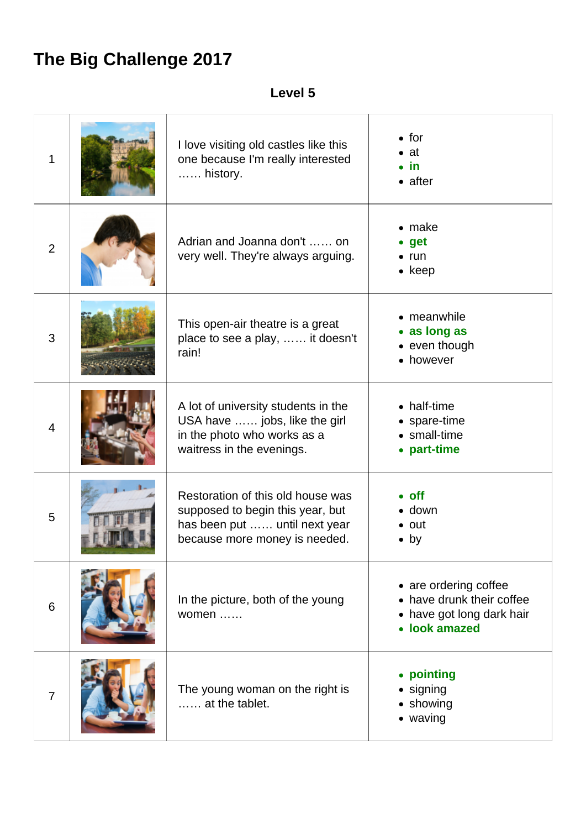## **The Big Challenge 2017**

## **Level 5**

| 1              | I love visiting old castles like this<br>one because I'm really interested<br>history.                                                  | $\bullet$ for<br>$\bullet$ at<br>$\bullet$ in<br>$\bullet$ after                               |
|----------------|-----------------------------------------------------------------------------------------------------------------------------------------|------------------------------------------------------------------------------------------------|
| $\overline{2}$ | Adrian and Joanna don't  on<br>very well. They're always arguing.                                                                       | $\bullet$ make<br>$\bullet$ get<br>$\bullet$ run<br>$\bullet$ keep                             |
| 3              | This open-air theatre is a great<br>place to see a play,  it doesn't<br>rain!                                                           | • meanwhile<br>• as long as<br>• even though<br>• however                                      |
| $\overline{4}$ | A lot of university students in the<br>USA have  jobs, like the girl<br>in the photo who works as a<br>waitress in the evenings.        | • half-time<br>• spare-time<br>• small-time<br>• part-time                                     |
| 5              | Restoration of this old house was<br>supposed to begin this year, but<br>has been put  until next year<br>because more money is needed. | $\bullet$ off<br>$\bullet$ down<br>$\bullet$ out<br>$\bullet$ by                               |
| 6              | In the picture, both of the young<br>women                                                                                              | • are ordering coffee<br>• have drunk their coffee<br>• have got long dark hair<br>look amazed |
| $\overline{7}$ | The young woman on the right is<br>at the tablet.                                                                                       | • pointing<br>• signing<br>• showing<br>• waving                                               |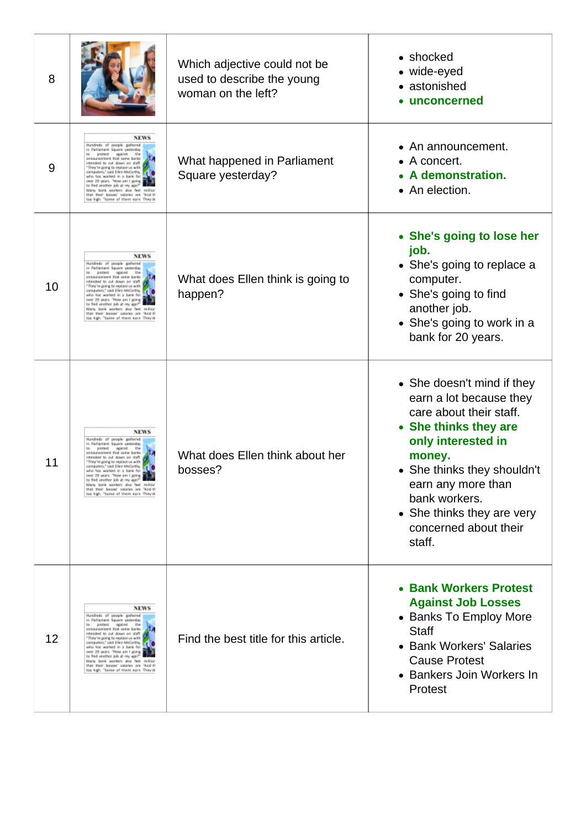| 8  |                                                                                                                                                                                                                                                                                                                                                                                                                                                                                   | Which adjective could not be<br>used to describe the young<br>woman on the left? | • shocked<br>• wide-eyed<br>• astonished<br>• unconcerned                                                                                                                                                                                                                        |
|----|-----------------------------------------------------------------------------------------------------------------------------------------------------------------------------------------------------------------------------------------------------------------------------------------------------------------------------------------------------------------------------------------------------------------------------------------------------------------------------------|----------------------------------------------------------------------------------|----------------------------------------------------------------------------------------------------------------------------------------------------------------------------------------------------------------------------------------------------------------------------------|
| 9  | <b>NEWS</b><br>Hundreds of people gathered<br>in Parliament Square yesterday<br>to protect against the<br>announcement that some banks.<br>intended to out down on staff.<br>"They're going to replace us with<br>computers," said Ellen McCarthy,<br>who has worked in a bank far<br>over 20 years. "How am I going<br>to find another job at my age?"<br>Many bank workers also feel million<br>that their bosses' salaries are 'And th<br>too high. "Some of them earn They di | What happened in Parliament<br>Square yesterday?                                 | • An announcement.<br>$\bullet$ A concert.<br>• A demonstration.<br>• An election.                                                                                                                                                                                               |
| 10 | <b>NEWS</b><br>Hundreds of people gathered<br>in Parliament Square yesterday<br>to protect against the<br>announcement that some banks<br>intended to cut down an staff.<br>"They're going to replace us with<br>computers," said Ellen McCarthy,<br>who has worked in a bank for<br>over 20 years. "How am I going<br>to find another job at my age?"<br>Many bank workers also feel million<br>that their bosses' salaries are 'And th<br>too high. "Some of them earn They de  | What does Ellen think is going to<br>happen?                                     | • She's going to lose her<br>job.<br>• She's going to replace a<br>computer.<br>• She's going to find<br>another job.<br>• She's going to work in a<br>bank for 20 years.                                                                                                        |
| 11 | <b>NEWS</b><br>Hundreds of people gathered<br>in Parliament Square yesterday<br>to protect against the<br>announcement that some banks<br>Thate no mudd tu of bebeeni<br>They're going to replace us with<br>computers," said Ellen McCarthy,<br>who has worked in a bank far<br>over 20 years. "How am I going<br>to find another job at rev age<br>Many bank workers also feel million<br>that their bosses' salaries are 'And th<br>too high. "Some of them earn They di       | What does Ellen think about her<br>bosses?                                       | • She doesn't mind if they<br>earn a lot because they<br>care about their staff.<br>• She thinks they are<br>only interested in<br>money.<br>• She thinks they shouldn't<br>earn any more than<br>bank workers.<br>• She thinks they are very<br>concerned about their<br>staff. |
| 12 | <b>NEWS</b><br>Hundreds of people gathered<br>in Parliament Square yesterday<br>to protest against the<br>announcement that some banks<br>intended to out down an staff.<br>They're going to replace us with<br>computers," said Ellen McCarthy,<br>who has worked in a bank far<br>over 20 years. "How am I going.<br>to find another job at my age?"<br>Many bank workers also feel million<br>that their bosses' salaries are 'And th<br>too high. "Some of them earn They di  | Find the best title for this article.                                            | • Bank Workers Protest<br><b>Against Job Losses</b><br>• Banks To Employ More<br><b>Staff</b><br>• Bank Workers' Salaries<br><b>Cause Protest</b><br>• Bankers Join Workers In<br>Protest                                                                                        |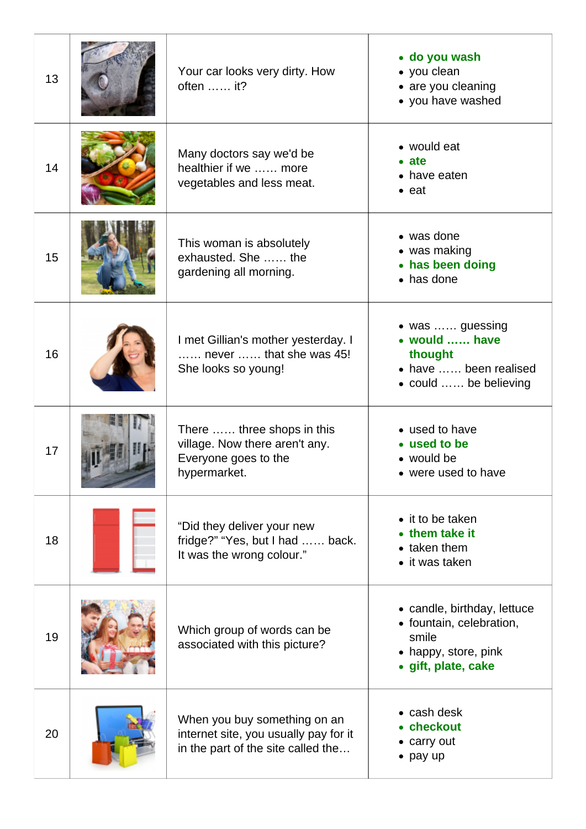| 13 | Your car looks very dirty. How<br>often $\dots$ it?                                                         | • do you wash<br>• you clean<br>• are you cleaning<br>• you have washed                                         |
|----|-------------------------------------------------------------------------------------------------------------|-----------------------------------------------------------------------------------------------------------------|
| 14 | Many doctors say we'd be<br>healthier if we  more<br>vegetables and less meat.                              | • would eat<br>$\bullet$ ate<br>• have eaten<br>$\bullet$ eat                                                   |
| 15 | This woman is absolutely<br>exhausted. She  the<br>gardening all morning.                                   | • was done<br>• was making<br>• has been doing<br>• has done                                                    |
| 16 | I met Gillian's mother yesterday. I<br>$,$ never $,$ that she was 45!<br>She looks so young!                | • was  guessing<br>• would  have<br>thought<br>• have  been realised<br>• could  be believing                   |
| 17 | There  three shops in this<br>village. Now there aren't any.<br>Everyone goes to the<br>hypermarket.        | • used to have<br>• used to be<br>• would be<br>• were used to have                                             |
| 18 | "Did they deliver your new<br>fridge?" "Yes, but I had  back.<br>It was the wrong colour."                  | • it to be taken<br>• them take it<br>$\bullet$ taken them<br>$\bullet$ it was taken                            |
| 19 | Which group of words can be<br>associated with this picture?                                                | • candle, birthday, lettuce<br>• fountain, celebration,<br>smile<br>• happy, store, pink<br>· gift, plate, cake |
| 20 | When you buy something on an<br>internet site, you usually pay for it<br>in the part of the site called the | $\bullet$ cash desk<br>• checkout<br>• carry out<br>$\bullet$ pay up                                            |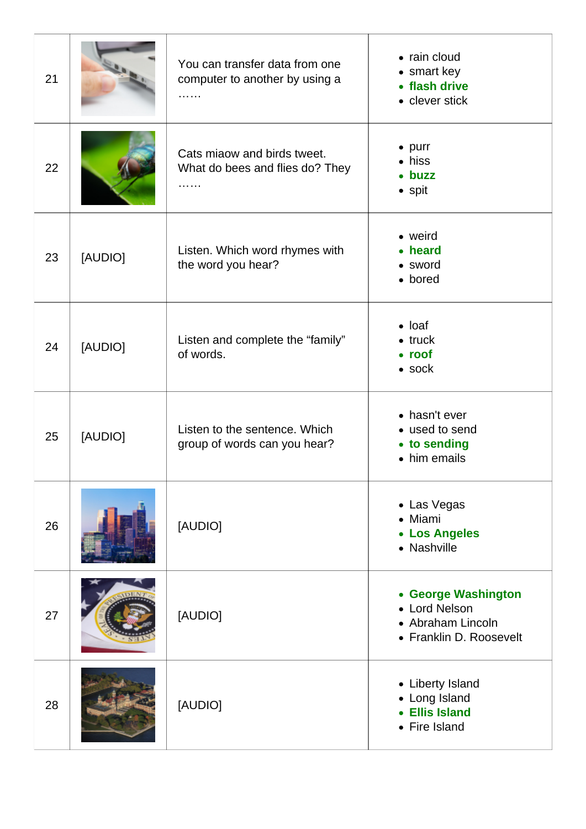| 21 |         | You can transfer data from one<br>computer to another by using a<br>. | • rain cloud<br>• smart key<br>• flash drive<br>• clever stick                         |
|----|---------|-----------------------------------------------------------------------|----------------------------------------------------------------------------------------|
| 22 |         | Cats miaow and birds tweet.<br>What do bees and flies do? They<br>.   | $\bullet$ purr<br>• hiss<br>• buzz<br>$\bullet$ spit                                   |
| 23 | [AUDIO] | Listen. Which word rhymes with<br>the word you hear?                  | • weird<br>• heard<br>• sword<br>• bored                                               |
| 24 | [AUDIO] | Listen and complete the "family"<br>of words.                         | $\bullet$ loaf<br>$\bullet$ truck<br>• roof<br>$\bullet$ sock                          |
| 25 | [AUDIO] | Listen to the sentence. Which<br>group of words can you hear?         | • hasn't ever<br>• used to send<br>• to sending<br>• him emails                        |
| 26 |         | [AUDIO]                                                               | • Las Vegas<br>• Miami<br>• Los Angeles<br>• Nashville                                 |
| 27 |         | [AUDIO]                                                               | • George Washington<br>• Lord Nelson<br>• Abraham Lincoln<br>• Franklin D. Roosevelt   |
| 28 |         | [AUDIO]                                                               | • Liberty Island<br>• Long Island<br><b>Ellis Island</b><br>$\bullet$<br>• Fire Island |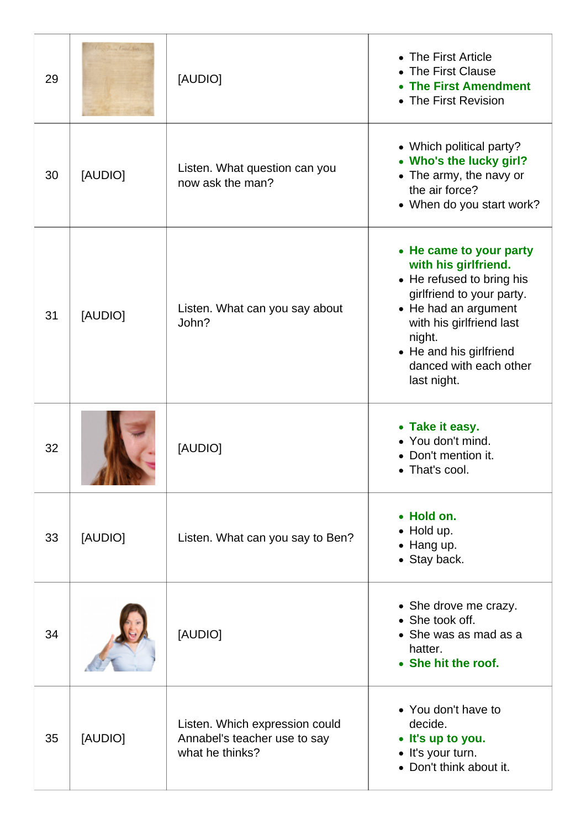| 29 |         | [AUDIO]                                                                           | • The First Article<br>The First Clause<br><b>The First Amendment</b><br>• The First Revision                                                                                                                                               |
|----|---------|-----------------------------------------------------------------------------------|---------------------------------------------------------------------------------------------------------------------------------------------------------------------------------------------------------------------------------------------|
| 30 | [AUDIO] | Listen. What question can you<br>now ask the man?                                 | • Which political party?<br>• Who's the lucky girl?<br>• The army, the navy or<br>the air force?<br>• When do you start work?                                                                                                               |
| 31 | [AUDIO] | Listen. What can you say about<br>John?                                           | • He came to your party<br>with his girlfriend.<br>• He refused to bring his<br>girlfriend to your party.<br>• He had an argument<br>with his girlfriend last<br>night.<br>• He and his girlfriend<br>danced with each other<br>last night. |
| 32 |         | [AUDIO]                                                                           | • Take it easy.<br>• You don't mind.<br>• Don't mention it.<br>• That's cool.                                                                                                                                                               |
| 33 | [AUDIO] | Listen. What can you say to Ben?                                                  | • Hold on.<br>$\bullet$ Hold up.<br>• Hang up.<br>• Stay back.                                                                                                                                                                              |
| 34 |         | [AUDIO]                                                                           | • She drove me crazy.<br>• She took off.<br>• She was as mad as a<br>hatter.<br>• She hit the roof.                                                                                                                                         |
| 35 | [AUDIO] | Listen. Which expression could<br>Annabel's teacher use to say<br>what he thinks? | • You don't have to<br>decide.<br>• It's up to you.<br>· It's your turn.<br>• Don't think about it.                                                                                                                                         |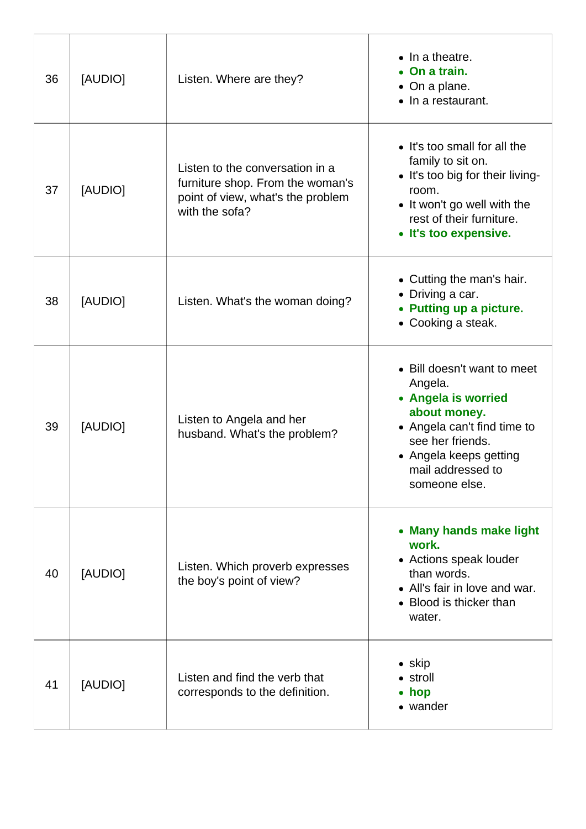| 36 | [AUDIO] | Listen. Where are they?                                                                                                    | $\bullet$ In a theatre.<br>• On a train.<br>• On a plane.<br>$\bullet$ In a restaurant.                                                                                                          |
|----|---------|----------------------------------------------------------------------------------------------------------------------------|--------------------------------------------------------------------------------------------------------------------------------------------------------------------------------------------------|
| 37 | [AUDIO] | Listen to the conversation in a<br>furniture shop. From the woman's<br>point of view, what's the problem<br>with the sofa? | • It's too small for all the<br>family to sit on.<br>• It's too big for their living-<br>room.<br>• It won't go well with the<br>rest of their furniture.<br>• It's too expensive.               |
| 38 | [AUDIO] | Listen. What's the woman doing?                                                                                            | • Cutting the man's hair.<br>$\bullet$ Driving a car.<br>• Putting up a picture.<br>• Cooking a steak.                                                                                           |
| 39 | [AUDIO] | Listen to Angela and her<br>husband. What's the problem?                                                                   | • Bill doesn't want to meet<br>Angela.<br>• Angela is worried<br>about money.<br>• Angela can't find time to<br>see her friends.<br>• Angela keeps getting<br>mail addressed to<br>someone else. |
| 40 | [AUDIO] | Listen. Which proverb expresses<br>the boy's point of view?                                                                | • Many hands make light<br>work.<br>• Actions speak louder<br>than words.<br>• All's fair in love and war.<br>• Blood is thicker than<br>water.                                                  |
| 41 | [AUDIO] | Listen and find the verb that<br>corresponds to the definition.                                                            | $\bullet$ skip<br>• stroll<br>$\bullet$ hop<br>• wander                                                                                                                                          |